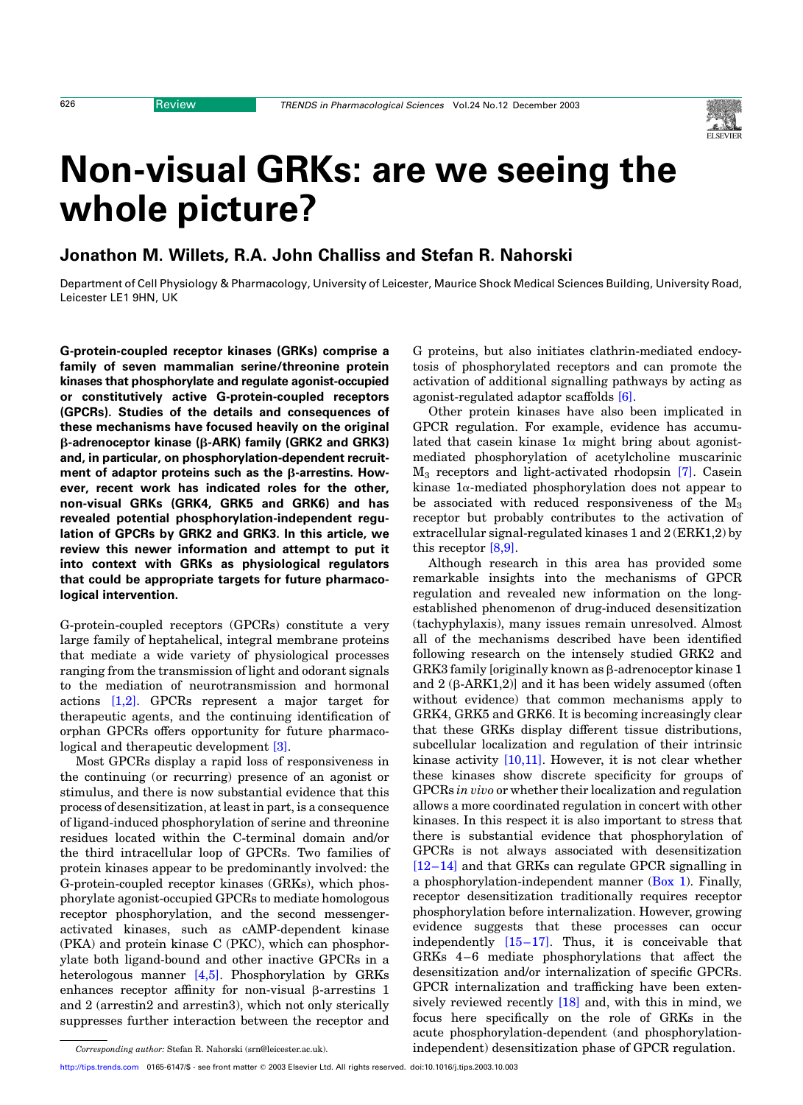

# Non-visual GRKs: are we seeing the whole picture?

## Jonathon M. Willets, R.A. John Challiss and Stefan R. Nahorski

Department of Cell Physiology & Pharmacology, University of Leicester, Maurice Shock Medical Sciences Building, University Road, Leicester LE1 9HN, UK

G-protein-coupled receptor kinases (GRKs) comprise a family of seven mammalian serine/threonine protein kinases that phosphorylate and regulate agonist-occupied or constitutively active G-protein-coupled receptors (GPCRs). Studies of the details and consequences of these mechanisms have focused heavily on the original  $\beta$ -adrenoceptor kinase ( $\beta$ -ARK) family (GRK2 and GRK3) and, in particular, on phosphorylation-dependent recruitment of adaptor proteins such as the  $\beta$ -arrestins. However, recent work has indicated roles for the other, non-visual GRKs (GRK4, GRK5 and GRK6) and has revealed potential phosphorylation-independent regulation of GPCRs by GRK2 and GRK3. In this article, we review this newer information and attempt to put it into context with GRKs as physiological regulators that could be appropriate targets for future pharmacological intervention.

G-protein-coupled receptors (GPCRs) constitute a very large family of heptahelical, integral membrane proteins that mediate a wide variety of physiological processes ranging from the transmission of light and odorant signals to the mediation of neurotransmission and hormonal actions [\[1,2\]](#page-6-0). GPCRs represent a major target for therapeutic agents, and the continuing identification of orphan GPCRs offers opportunity for future pharmacological and therapeutic development [\[3\]](#page-6-0).

Most GPCRs display a rapid loss of responsiveness in the continuing (or recurring) presence of an agonist or stimulus, and there is now substantial evidence that this process of desensitization, at least in part, is a consequence of ligand-induced phosphorylation of serine and threonine residues located within the C-terminal domain and/or the third intracellular loop of GPCRs. Two families of protein kinases appear to be predominantly involved: the G-protein-coupled receptor kinases (GRKs), which phosphorylate agonist-occupied GPCRs to mediate homologous receptor phosphorylation, and the second messengeractivated kinases, such as cAMP-dependent kinase (PKA) and protein kinase C (PKC), which can phosphorylate both ligand-bound and other inactive GPCRs in a heterologous manner [\[4,5\]](#page-6-0). Phosphorylation by GRKs enhances receptor affinity for non-visual  $\beta$ -arrestins 1 and 2 (arrestin2 and arrestin3), which not only sterically suppresses further interaction between the receptor and

G proteins, but also initiates clathrin-mediated endocytosis of phosphorylated receptors and can promote the activation of additional signalling pathways by acting as agonist-regulated adaptor scaffolds [\[6\].](#page-6-0)

Other protein kinases have also been implicated in GPCR regulation. For example, evidence has accumulated that case in kinase  $1\alpha$  might bring about agonistmediated phosphorylation of acetylcholine muscarinic M3 receptors and light-activated rhodopsin [\[7\]](#page-6-0). Casein kinase  $1\alpha$ -mediated phosphorylation does not appear to be associated with reduced responsiveness of the  $M_3$ receptor but probably contributes to the activation of extracellular signal-regulated kinases 1 and 2 (ERK1,2) by this receptor [\[8,9\].](#page-6-0)

Although research in this area has provided some remarkable insights into the mechanisms of GPCR regulation and revealed new information on the longestablished phenomenon of drug-induced desensitization (tachyphylaxis), many issues remain unresolved. Almost all of the mechanisms described have been identified following research on the intensely studied GRK2 and GRK3 family [originally known as  $\beta$ -adrenoceptor kinase 1 and  $2$  ( $\beta$ -ARK1, $2$ )] and it has been widely assumed (often without evidence) that common mechanisms apply to GRK4, GRK5 and GRK6. It is becoming increasingly clear that these GRKs display different tissue distributions, subcellular localization and regulation of their intrinsic kinase activity [\[10,11\]](#page-6-0). However, it is not clear whether these kinases show discrete specificity for groups of GPCRs in vivo or whether their localization and regulation allows a more coordinated regulation in concert with other kinases. In this respect it is also important to stress that there is substantial evidence that phosphorylation of GPCRs is not always associated with desensitization [\[12–14\]](#page-6-0) and that GRKs can regulate GPCR signalling in a phosphorylation-independent manner [\(Box 1](#page-1-0)). Finally, receptor desensitization traditionally requires receptor phosphorylation before internalization. However, growing evidence suggests that these processes can occur independently [\[15–17\]](#page-6-0). Thus, it is conceivable that GRKs 4–6 mediate phosphorylations that affect the desensitization and/or internalization of specific GPCRs. GPCR internalization and trafficking have been extensively reviewed recently [\[18\]](#page-6-0) and, with this in mind, we focus here specifically on the role of GRKs in the acute phosphorylation-dependent (and phosphorylation-Corresponding author: Stefan R. Nahorski (srn@leicester.ac.uk). independent) desensitization phase of GPCR regulation.

[http://tips.trends.com](http://www.trends.com) 0165-6147/\$ - see front matter q 2003 Elsevier Ltd. All rights reserved. doi:10.1016/j.tips.2003.10.003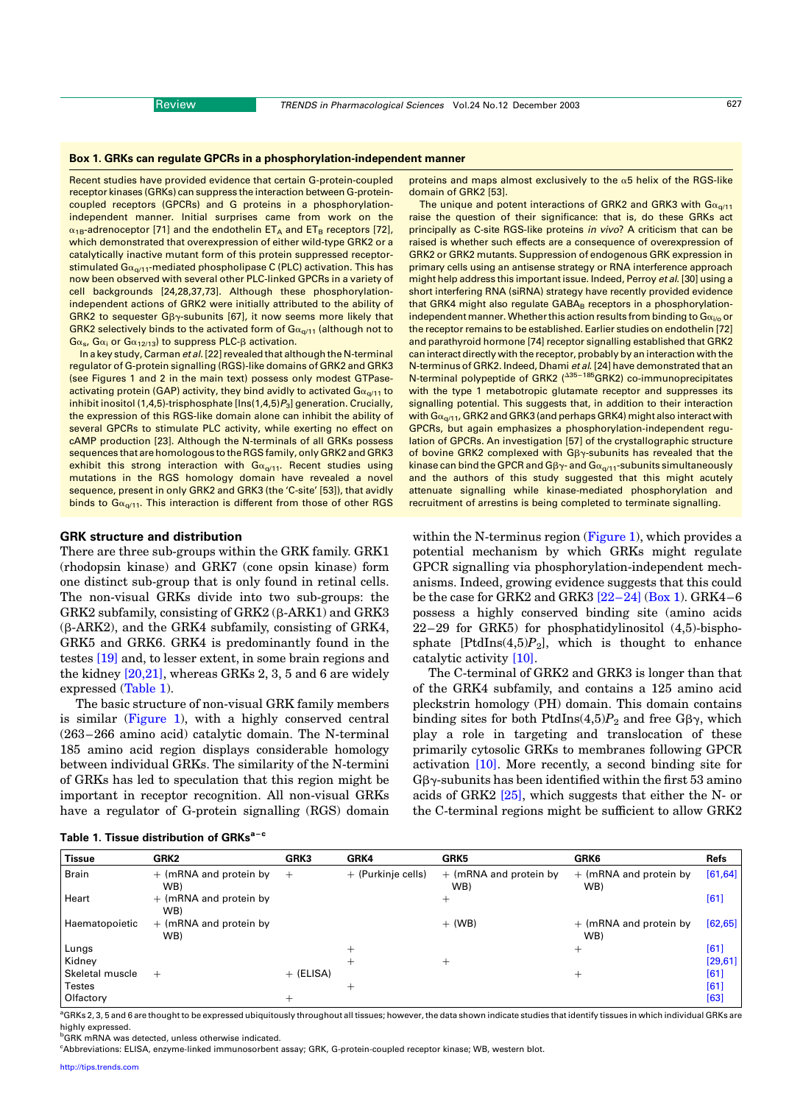#### <span id="page-1-0"></span>Box 1. GRKs can regulate GPCRs in a phosphorylation-independent manner

Recent studies have provided evidence that certain G-protein-coupled receptor kinases (GRKs) can suppress the interaction between G-proteincoupled receptors (GPCRs) and G proteins in a phosphorylationindependent manner. Initial surprises came from work on the  $\alpha_{1B}$ -adrenoceptor [71] and the endothelin ET<sub>A</sub> and ET<sub>B</sub> receptors [72], which demonstrated that overexpression of either wild-type GRK2 or a catalytically inactive mutant form of this protein suppressed receptorstimulated  $Ga_{\alpha/11}$ -mediated phospholipase C (PLC) activation. This has now been observed with several other PLC-linked GPCRs in a variety of cell backgrounds [24,28,37,73]. Although these phosphorylationindependent actions of GRK2 were initially attributed to the ability of GRK2 to sequester  $G\beta\gamma$ -subunits [67], it now seems more likely that GRK2 selectively binds to the activated form of  $Ga_{q/11}$  (although not to  $Ga_s$ ,  $Ga_i$  or  $Ga_{12/13}$ ) to suppress PLC- $\beta$  activation.

In a key study, Carman et al. [22] revealed that although the N-terminal regulator of G-protein signalling (RGS)-like domains of GRK2 and GRK3 (see Figures 1 and 2 in the main text) possess only modest GTPaseactivating protein (GAP) activity, they bind avidly to activated  $G_{\alpha_{q/11}}$  to inhibit inositol (1,4,5)-trisphosphate  $[Ins(1,4,5)P_3]$  generation. Crucially, the expression of this RGS-like domain alone can inhibit the ability of several GPCRs to stimulate PLC activity, while exerting no effect on cAMP production [23]. Although the N-terminals of all GRKs possess sequences that are homologous to the RGS family, only GRK2 and GRK3 exhibit this strong interaction with  $Ga_{q/11}$ . Recent studies using mutations in the RGS homology domain have revealed a novel sequence, present in only GRK2 and GRK3 (the 'C-site' [53]), that avidly binds to  $Ga_{\alpha/11}$ . This interaction is different from those of other RGS

#### GRK structure and distribution

There are three sub-groups within the GRK family. GRK1 (rhodopsin kinase) and GRK7 (cone opsin kinase) form one distinct sub-group that is only found in retinal cells. The non-visual GRKs divide into two sub-groups: the GRK2 subfamily, consisting of GRK2  $(\beta$ -ARK1) and GRK3 (b-ARK2), and the GRK4 subfamily, consisting of GRK4, GRK5 and GRK6. GRK4 is predominantly found in the testes [\[19\]](#page-6-0) and, to lesser extent, in some brain regions and the kidney  $[20,21]$ , whereas GRKs 2, 3, 5 and 6 are widely expressed (Table 1).

The basic structure of non-visual GRK family members is similar ([Figure 1\)](#page-2-0), with a highly conserved central (263–266 amino acid) catalytic domain. The N-terminal 185 amino acid region displays considerable homology between individual GRKs. The similarity of the N-termini of GRKs has led to speculation that this region might be important in receptor recognition. All non-visual GRKs have a regulator of G-protein signalling (RGS) domain proteins and maps almost exclusively to the  $\alpha$ 5 helix of the RGS-like domain of GRK2 [53].

The unique and potent interactions of GRK2 and GRK3 with  $Ga_{\alpha/11}$ raise the question of their significance: that is, do these GRKs act principally as C-site RGS-like proteins in vivo? A criticism that can be raised is whether such effects are a consequence of overexpression of GRK2 or GRK2 mutants. Suppression of endogenous GRK expression in primary cells using an antisense strategy or RNA interference approach might help address this important issue. Indeed, Perroy et al. [30] using a short interfering RNA (siRNA) strategy have recently provided evidence that GRK4 might also regulate GABA<sub>B</sub> receptors in a phosphorylationindependent manner. Whether this action results from binding to  $G\alpha_{i\ell0}$  or the receptor remains to be established. Earlier studies on endothelin [72] and parathyroid hormone [74] receptor signalling established that GRK2 can interact directly with the receptor, probably by an interaction with the N-terminus of GRK2. Indeed, Dhami *et al*. [24] have demonstrated that an<br>N-terminal polypeptide of GRK2 (<sup>A35–185</sup>GRK2) co-immunoprecipitates with the type 1 metabotropic glutamate receptor and suppresses its signalling potential. This suggests that, in addition to their interaction with  $G_{\alpha_{0}/11}$ , GRK2 and GRK3 (and perhaps GRK4) might also interact with GPCRs, but again emphasizes a phosphorylation-independent regulation of GPCRs. An investigation [57] of the crystallographic structure of bovine GRK2 complexed with  $G\beta\gamma$ -subunits has revealed that the kinase can bind the GPCR and G $\beta\gamma$ - and G $\alpha_{q/11}$ -subunits simultaneously and the authors of this study suggested that this might acutely attenuate signalling while kinase-mediated phosphorylation and recruitment of arrestins is being completed to terminate signalling.

within the N-terminus region [\(Figure 1\)](#page-2-0), which provides a potential mechanism by which GRKs might regulate GPCR signalling via phosphorylation-independent mechanisms. Indeed, growing evidence suggests that this could be the case for GRK2 and GRK3  $[22-24]$  (Box 1). GRK4-6 possess a highly conserved binding site (amino acids 22–29 for GRK5) for phosphatidylinositol (4,5)-bisphosphate [PtdIns $(4,5)P_2$ ], which is thought to enhance catalytic activity [\[10\]](#page-6-0).

The C-terminal of GRK2 and GRK3 is longer than that of the GRK4 subfamily, and contains a 125 amino acid pleckstrin homology (PH) domain. This domain contains binding sites for both PtdIns(4,5) $P_2$  and free G $\beta\gamma$ , which play a role in targeting and translocation of these primarily cytosolic GRKs to membranes following GPCR activation [\[10\]](#page-6-0). More recently, a second binding site for  $G\beta\gamma$ -subunits has been identified within the first 53 amino acids of GRK2 [\[25\]](#page-6-0), which suggests that either the N- or the C-terminal regions might be sufficient to allow GRK2

| Table 1. Tissue distribution of GRKs <sup>a-c</sup> |  |
|-----------------------------------------------------|--|
|-----------------------------------------------------|--|

| <b>Tissue</b>   | GRK2                            | GRK3        | GRK4               | GRK5                            | <b>GRK6</b>                     | Refs     |
|-----------------|---------------------------------|-------------|--------------------|---------------------------------|---------------------------------|----------|
| <b>Brain</b>    | $+$ (mRNA and protein by<br>WB) | $^{+}$      | + (Purkinje cells) | $+$ (mRNA and protein by<br>WB) | $+$ (mRNA and protein by<br>WB) | [61, 64] |
| Heart           | $+$ (mRNA and protein by<br>WB) |             |                    | $^+$                            |                                 | [61]     |
| Haematopoietic  | $+$ (mRNA and protein by<br>WB) |             |                    | $+$ (WB)                        | $+$ (mRNA and protein by<br>WB) | [62, 65] |
| Lungs           |                                 |             |                    |                                 | $^+$                            | [61]     |
| Kidney          |                                 |             |                    | $^+$                            |                                 | [29, 61] |
| Skeletal muscle | $^{+}$                          | $+$ (ELISA) |                    |                                 | $^+$                            | [61]     |
| Testes          |                                 |             | $^+$               |                                 |                                 | [61]     |
| Olfactory       |                                 | $^+$        |                    |                                 |                                 | [63]     |

<sup>a</sup>GRKs 2, 3, 5 and 6 are thought to be expressed ubiquitously throughout all tissues; however, the data shown indicate studies that identify tissues in which individual GRKs are highly expressed.

<sup>b</sup>GRK mRNA was detected, unless otherwise indicated.

c Abbreviations: ELISA, enzyme-linked immunosorbent assay; GRK, G-protein-coupled receptor kinase; WB, western blot.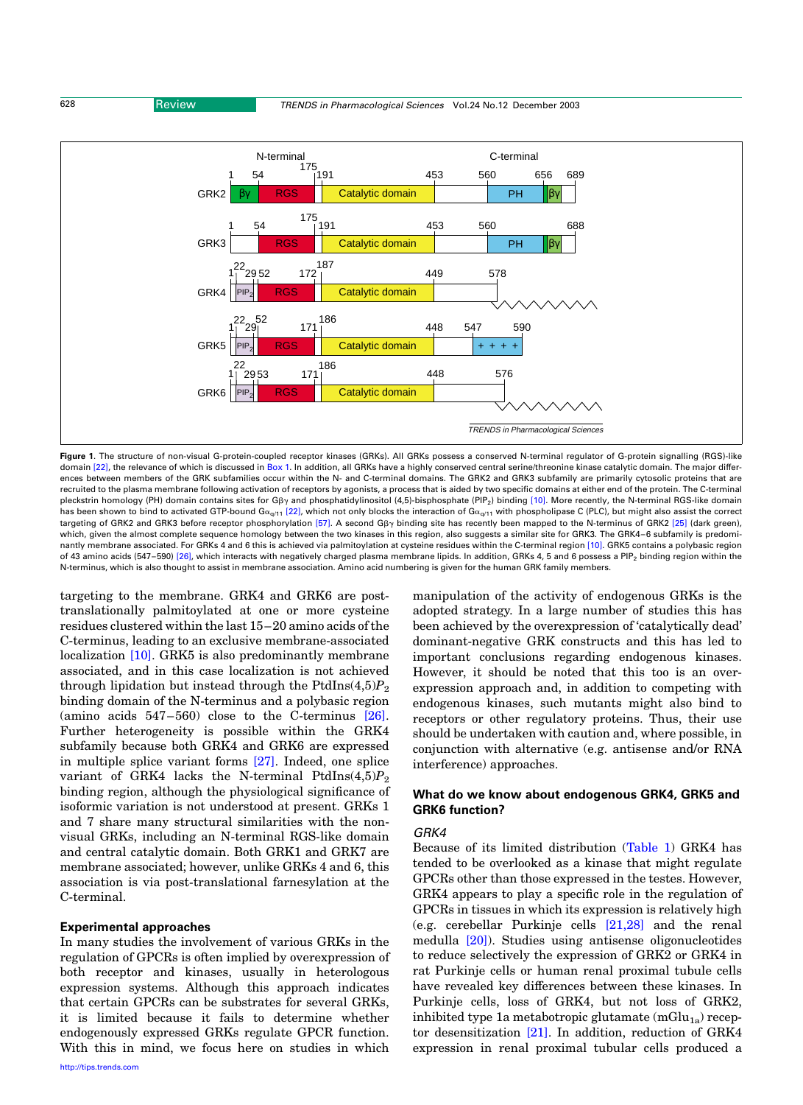<span id="page-2-0"></span>

Figure 1. The structure of non-visual G-protein-coupled receptor kinases (GRKs). All GRKs possess a conserved N-terminal regulator of G-protein signalling (RGS)-like domain [\[22\],](#page-6-0) the relevance of which is discussed in [Box 1.](#page-1-0) In addition, all GRKs have a highly conserved central serine/threonine kinase catalytic domain. The major differences between members of the GRK subfamilies occur within the N- and C-terminal domains. The GRK2 and GRK3 subfamily are primarily cytosolic proteins that are recruited to the plasma membrane following activation of receptors by agonists, a process that is aided by two specific domains at either end of the protein. The C-terminal pleckstrin homology (PH) domain contains sites for G<sub>By</sub> and phosphatidylinositol (4,5)-bisphosphate (PIP<sub>2</sub>) binding [\[10\]](#page-6-0). More recently, the N-terminal RGS-like domain has been shown to bind to activated GTP-bound G $\alpha_{\alpha/11}$  [\[22\]](#page-6-0), which not only blocks the interaction of G $\alpha_{\alpha/11}$  with phospholipase C (PLC), but might also assist the correct targeting of GRK2 and GRK3 before receptor phosphorylation [\[57\]](#page-7-0). A second G<sub>PY</sub> binding site has recently been mapped to the N-terminus of GRK2 [\[25\]](#page-6-0) (dark green), which, given the almost complete sequence homology between the two kinases in this region, also suggests a similar site for GRK3. The GRK4-6 subfamily is predomi-nantly membrane associated. For GRKs 4 and 6 this is achieved via palmitoylation at cysteine residues within the C-terminal region [\[10\]](#page-6-0). GRK5 contains a polybasic region of 43 amino acids (547-590) [\[26\],](#page-6-0) which interacts with negatively charged plasma membrane lipids. In addition, GRKs 4, 5 and 6 possess a PIP<sub>2</sub> binding region within the N-terminus, which is also thought to assist in membrane association. Amino acid numbering is given for the human GRK family members.

targeting to the membrane. GRK4 and GRK6 are posttranslationally palmitoylated at one or more cysteine residues clustered within the last 15–20 amino acids of the C-terminus, leading to an exclusive membrane-associated localization [\[10\].](#page-6-0) GRK5 is also predominantly membrane associated, and in this case localization is not achieved through lipidation but instead through the PtdIns $(4,5)P_2$ binding domain of the N-terminus and a polybasic region (amino acids 547–560) close to the C-terminus [\[26\]](#page-6-0). Further heterogeneity is possible within the GRK4 subfamily because both GRK4 and GRK6 are expressed in multiple splice variant forms [\[27\].](#page-6-0) Indeed, one splice variant of GRK4 lacks the N-terminal PtdIns $(4,5)P_2$ binding region, although the physiological significance of isoformic variation is not understood at present. GRKs 1 and 7 share many structural similarities with the nonvisual GRKs, including an N-terminal RGS-like domain and central catalytic domain. Both GRK1 and GRK7 are membrane associated; however, unlike GRKs 4 and 6, this association is via post-translational farnesylation at the C-terminal.

## Experimental approaches

In many studies the involvement of various GRKs in the regulation of GPCRs is often implied by overexpression of both receptor and kinases, usually in heterologous expression systems. Although this approach indicates that certain GPCRs can be substrates for several GRKs, it is limited because it fails to determine whether endogenously expressed GRKs regulate GPCR function. With this in mind, we focus here on studies in which manipulation of the activity of endogenous GRKs is the adopted strategy. In a large number of studies this has been achieved by the overexpression of 'catalytically dead' dominant-negative GRK constructs and this has led to important conclusions regarding endogenous kinases. However, it should be noted that this too is an overexpression approach and, in addition to competing with endogenous kinases, such mutants might also bind to receptors or other regulatory proteins. Thus, their use should be undertaken with caution and, where possible, in conjunction with alternative (e.g. antisense and/or RNA interference) approaches.

## What do we know about endogenous GRK4, GRK5 and GRK6 function?

## GRK4

Because of its limited distribution ([Table 1\)](#page-1-0) GRK4 has tended to be overlooked as a kinase that might regulate GPCRs other than those expressed in the testes. However, GRK4 appears to play a specific role in the regulation of GPCRs in tissues in which its expression is relatively high (e.g. cerebellar Purkinje cells [\[21,28\]](#page-6-0) and the renal medulla [\[20\]\)](#page-6-0). Studies using antisense oligonucleotides to reduce selectively the expression of GRK2 or GRK4 in rat Purkinje cells or human renal proximal tubule cells have revealed key differences between these kinases. In Purkinje cells, loss of GRK4, but not loss of GRK2, inhibited type 1a metabotropic glutamate  $(mGlu_{1a})$  receptor desensitization [\[21\]](#page-6-0). In addition, reduction of GRK4 expression in renal proximal tubular cells produced a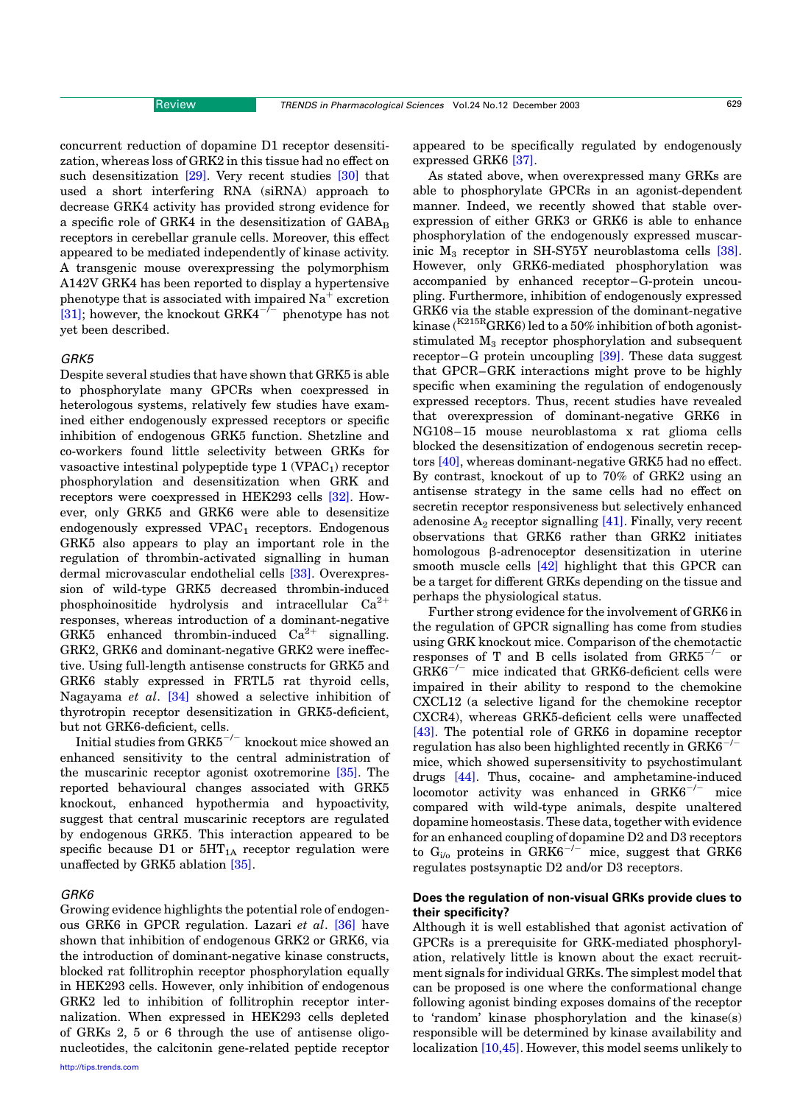concurrent reduction of dopamine D1 receptor desensitization, whereas loss of GRK2 in this tissue had no effect on such desensitization [\[29\].](#page-6-0) Very recent studies [\[30\]](#page-6-0) that used a short interfering RNA (siRNA) approach to decrease GRK4 activity has provided strong evidence for a specific role of GRK4 in the desensitization of  $GABA_B$ receptors in cerebellar granule cells. Moreover, this effect appeared to be mediated independently of kinase activity. A transgenic mouse overexpressing the polymorphism A142V GRK4 has been reported to display a hypertensive phenotype that is associated with impaired  $Na<sup>+</sup>$  excretion [\[31\];](#page-6-0) however, the knockout  $GRK4^{-/-}$  phenotype has not yet been described.

#### GRK5

Despite several studies that have shown that GRK5 is able to phosphorylate many GPCRs when coexpressed in heterologous systems, relatively few studies have examined either endogenously expressed receptors or specific inhibition of endogenous GRK5 function. Shetzline and co-workers found little selectivity between GRKs for vasoactive intestinal polypeptide type  $1$  (VPAC<sub>1</sub>) receptor phosphorylation and desensitization when GRK and receptors were coexpressed in HEK293 cells [\[32\].](#page-6-0) However, only GRK5 and GRK6 were able to desensitize endogenously expressed  $VPAC<sub>1</sub>$  receptors. Endogenous GRK5 also appears to play an important role in the regulation of thrombin-activated signalling in human dermal microvascular endothelial cells [\[33\]](#page-6-0). Overexpression of wild-type GRK5 decreased thrombin-induced phosphoinositide hydrolysis and intracellular  $Ca^{2+}$ responses, whereas introduction of a dominant-negative GRK5 enhanced thrombin-induced  $Ca^{2+}$  signalling. GRK2, GRK6 and dominant-negative GRK2 were ineffective. Using full-length antisense constructs for GRK5 and GRK6 stably expressed in FRTL5 rat thyroid cells, Nagayama et al. [\[34\]](#page-6-0) showed a selective inhibition of thyrotropin receptor desensitization in GRK5-deficient, but not GRK6-deficient, cells.

Initial studies from  $GRK5^{-/-}$  knockout mice showed an enhanced sensitivity to the central administration of the muscarinic receptor agonist oxotremorine [\[35\].](#page-6-0) The reported behavioural changes associated with GRK5 knockout, enhanced hypothermia and hypoactivity, suggest that central muscarinic receptors are regulated by endogenous GRK5. This interaction appeared to be specific because D1 or  $5HT_{1A}$  receptor regulation were unaffected by GRK5 ablation [\[35\]](#page-6-0).

#### GRK6

Growing evidence highlights the potential role of endogenous GRK6 in GPCR regulation. Lazari et al. [\[36\]](#page-6-0) have shown that inhibition of endogenous GRK2 or GRK6, via the introduction of dominant-negative kinase constructs, blocked rat follitrophin receptor phosphorylation equally in HEK293 cells. However, only inhibition of endogenous GRK2 led to inhibition of follitrophin receptor internalization. When expressed in HEK293 cells depleted of GRKs 2, 5 or 6 through the use of antisense oligonucleotides, the calcitonin gene-related peptide receptor appeared to be specifically regulated by endogenously expressed GRK6 [\[37\]](#page-6-0).

As stated above, when overexpressed many GRKs are able to phosphorylate GPCRs in an agonist-dependent manner. Indeed, we recently showed that stable overexpression of either GRK3 or GRK6 is able to enhance phosphorylation of the endogenously expressed muscarinic  $M_3$  receptor in SH-SY5Y neuroblastoma cells [\[38\]](#page-6-0). However, only GRK6-mediated phosphorylation was accompanied by enhanced receptor–G-protein uncoupling. Furthermore, inhibition of endogenously expressed GRK6 via the stable expression of the dominant-negative kinase ( $K^{215R}$ GRK6) led to a 50% inhibition of both agoniststimulated  $M_3$  receptor phosphorylation and subsequent receptor–G protein uncoupling [\[39\]](#page-6-0). These data suggest that GPCR–GRK interactions might prove to be highly specific when examining the regulation of endogenously expressed receptors. Thus, recent studies have revealed that overexpression of dominant-negative GRK6 in NG108–15 mouse neuroblastoma x rat glioma cells blocked the desensitization of endogenous secretin receptors [\[40\],](#page-6-0) whereas dominant-negative GRK5 had no effect. By contrast, knockout of up to 70% of GRK2 using an antisense strategy in the same cells had no effect on secretin receptor responsiveness but selectively enhanced adenosine  $A_2$  receptor signalling [\[41\].](#page-7-0) Finally, very recent observations that GRK6 rather than GRK2 initiates homologous  $\beta$ -adrenoceptor desensitization in uterine smooth muscle cells [\[42\]](#page-7-0) highlight that this GPCR can be a target for different GRKs depending on the tissue and perhaps the physiological status.

Further strong evidence for the involvement of GRK6 in the regulation of GPCR signalling has come from studies using GRK knockout mice. Comparison of the chemotactic responses of T and B cells isolated from  $GRK5^{-/-}$  or  $GRK6^{-/-}$  mice indicated that GRK6-deficient cells were impaired in their ability to respond to the chemokine CXCL12 (a selective ligand for the chemokine receptor CXCR4), whereas GRK5-deficient cells were unaffected [\[43\].](#page-7-0) The potential role of GRK6 in dopamine receptor regulation has also been highlighted recently in  $GRK6^{-/-}$ mice, which showed supersensitivity to psychostimulant drugs [\[44\]](#page-7-0). Thus, cocaine- and amphetamine-induced locomotor activity was enhanced in  $GRK6^{-/-}$  mice compared with wild-type animals, despite unaltered dopamine homeostasis. These data, together with evidence for an enhanced coupling of dopamine D2 and D3 receptors to  $G_{i/o}$  proteins in  $GRK6^{-/-}$  mice, suggest that  $GRK6$ regulates postsynaptic D2 and/or D3 receptors.

## Does the regulation of non-visual GRKs provide clues to their specificity?

Although it is well established that agonist activation of GPCRs is a prerequisite for GRK-mediated phosphorylation, relatively little is known about the exact recruitment signals for individual GRKs. The simplest model that can be proposed is one where the conformational change following agonist binding exposes domains of the receptor to 'random' kinase phosphorylation and the kinase(s) responsible will be determined by kinase availability and localization [\[10,45\].](#page-6-0) However, this model seems unlikely to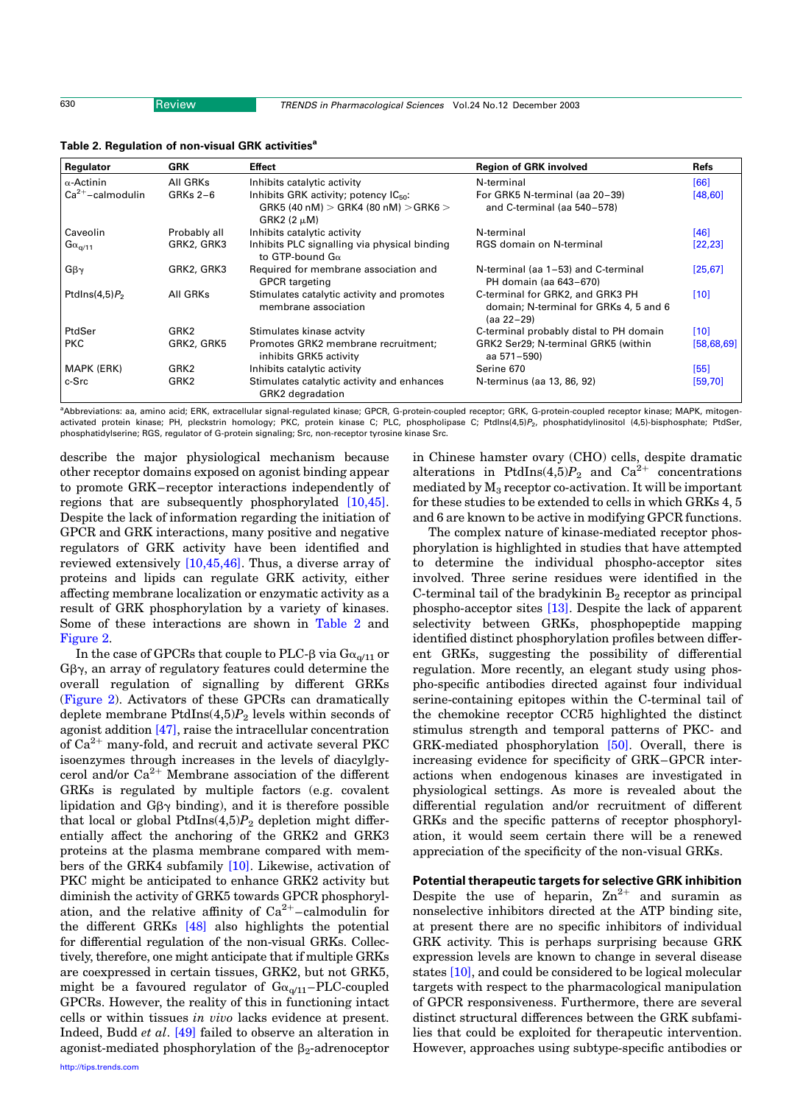<span id="page-4-0"></span>630 Review TRENDS in Pharmacological Sciences Vol.24 No.12 December 2003

| Regulator             | <b>GRK</b>       | <b>Effect</b>                                                                                                 | <b>Region of GRK involved</b>                                                            | <b>Refs</b>  |
|-----------------------|------------------|---------------------------------------------------------------------------------------------------------------|------------------------------------------------------------------------------------------|--------------|
| $\alpha$ -Actinin     | All GRKs         | Inhibits catalytic activity                                                                                   | N-terminal                                                                               | [66]         |
| $Ca^{2+}-cal$ modulin | $GRKs 2-6$       | Inhibits GRK activity; potency IC <sub>50</sub> :<br>GRK5 (40 nM) > GRK4 (80 nM) > GRK6 ><br>GRK2 $(2 \mu M)$ | For GRK5 N-terminal (aa 20-39)<br>and C-terminal (aa 540-578)                            | [48, 60]     |
| Caveolin              | Probably all     | Inhibits catalytic activity                                                                                   | N-terminal                                                                               | [46]         |
| $G\alpha_{q/11}$      | GRK2, GRK3       | Inhibits PLC signalling via physical binding<br>to GTP-bound $G_{\alpha}$                                     | RGS domain on N-terminal                                                                 | [22, 23]     |
| $G\beta\gamma$        | GRK2, GRK3       | Required for membrane association and<br><b>GPCR</b> targeting                                                | N-terminal (aa 1-53) and C-terminal<br>PH domain (aa 643-670)                            | [25, 67]     |
| Ptdlns $(4,5)P_2$     | All GRKs         | Stimulates catalytic activity and promotes<br>membrane association                                            | C-terminal for GRK2, and GRK3 PH<br>domain; N-terminal for GRKs 4, 5 and 6<br>(aa 22-29) | $[10]$       |
| PtdSer                | GRK <sub>2</sub> | Stimulates kinase actvity                                                                                     | C-terminal probably distal to PH domain                                                  | [10]         |
| <b>PKC</b>            | GRK2, GRK5       | Promotes GRK2 membrane recruitment:<br>inhibits GRK5 activity                                                 | GRK2 Ser29; N-terminal GRK5 (within<br>aa 571–590)                                       | [58, 68, 69] |
| MAPK (ERK)            | GRK2             | Inhibits catalytic activity                                                                                   | Serine 670                                                                               | [55]         |
| c-Src                 | GRK <sub>2</sub> | Stimulates catalytic activity and enhances<br><b>GRK2</b> degradation                                         | N-terminus (aa 13, 86, 92)                                                               | [59, 70]     |

Table 2. Regulation of non-visual GRK activities<sup>a</sup>

a Abbreviations: aa, amino acid; ERK, extracellular signal-regulated kinase; GPCR, G-protein-coupled receptor; GRK, G-protein-coupled receptor kinase; MAPK, mitogenactivated protein kinase; PH, pleckstrin homology; PKC, protein kinase C; PLC, phospholipase C; PtdIns(4,5)P<sub>2</sub>, phosphatidylinositol (4,5)-bisphosphate; PtdSer, phosphatidylserine; RGS, regulator of G-protein signaling; Src, non-receptor tyrosine kinase Src.

describe the major physiological mechanism because other receptor domains exposed on agonist binding appear to promote GRK–receptor interactions independently of regions that are subsequently phosphorylated [\[10,45\]](#page-6-0). Despite the lack of information regarding the initiation of GPCR and GRK interactions, many positive and negative regulators of GRK activity have been identified and reviewed extensively [\[10,45,46\]](#page-6-0). Thus, a diverse array of proteins and lipids can regulate GRK activity, either affecting membrane localization or enzymatic activity as a result of GRK phosphorylation by a variety of kinases. Some of these interactions are shown in Table 2 and [Figure 2](#page-5-0).

In the case of GPCRs that couple to PLC- $\beta$  via  $G_{\alpha_{0}/11}$  or  $G\beta\gamma$ , an array of regulatory features could determine the overall regulation of signalling by different GRKs ([Figure 2\)](#page-5-0). Activators of these GPCRs can dramatically deplete membrane  $PtdIns(4,5)P_2$  levels within seconds of agonist addition [\[47\],](#page-7-0) raise the intracellular concentration of  $Ca^{2+}$  many-fold, and recruit and activate several PKC isoenzymes through increases in the levels of diacylglycerol and/or  $Ca^{2+}$  Membrane association of the different GRKs is regulated by multiple factors (e.g. covalent lipidation and  $G\beta\gamma$  binding), and it is therefore possible that local or global PtdIns $(4,5)P_2$  depletion might differentially affect the anchoring of the GRK2 and GRK3 proteins at the plasma membrane compared with members of the GRK4 subfamily [\[10\].](#page-6-0) Likewise, activation of PKC might be anticipated to enhance GRK2 activity but diminish the activity of GRK5 towards GPCR phosphorylation, and the relative affinity of  $Ca^{2+}$ –calmodulin for the different GRKs [\[48\]](#page-7-0) also highlights the potential for differential regulation of the non-visual GRKs. Collectively, therefore, one might anticipate that if multiple GRKs are coexpressed in certain tissues, GRK2, but not GRK5, might be a favoured regulator of  $Ga_{\alpha/11}$ –PLC-coupled GPCRs. However, the reality of this in functioning intact cells or within tissues in vivo lacks evidence at present. Indeed, Budd et al. [\[49\]](#page-7-0) failed to observe an alteration in agonist-mediated phosphorylation of the  $\beta_2$ -adrenoceptor

in Chinese hamster ovary (CHO) cells, despite dramatic alterations in PtdIns(4,5) $P_2$  and Ca<sup>2+</sup> concentrations mediated by  $M_3$  receptor co-activation. It will be important for these studies to be extended to cells in which GRKs 4, 5 and 6 are known to be active in modifying GPCR functions.

The complex nature of kinase-mediated receptor phosphorylation is highlighted in studies that have attempted to determine the individual phospho-acceptor sites involved. Three serine residues were identified in the C-terminal tail of the bradykinin  $B_2$  receptor as principal phospho-acceptor sites [\[13\].](#page-6-0) Despite the lack of apparent selectivity between GRKs, phosphopeptide mapping identified distinct phosphorylation profiles between different GRKs, suggesting the possibility of differential regulation. More recently, an elegant study using phospho-specific antibodies directed against four individual serine-containing epitopes within the C-terminal tail of the chemokine receptor CCR5 highlighted the distinct stimulus strength and temporal patterns of PKC- and GRK-mediated phosphorylation [\[50\].](#page-7-0) Overall, there is increasing evidence for specificity of GRK–GPCR interactions when endogenous kinases are investigated in physiological settings. As more is revealed about the differential regulation and/or recruitment of different GRKs and the specific patterns of receptor phosphorylation, it would seem certain there will be a renewed appreciation of the specificity of the non-visual GRKs.

Potential therapeutic targets for selective GRK inhibition Despite the use of heparin,  $Zn^{2+}$  and suramin as nonselective inhibitors directed at the ATP binding site, at present there are no specific inhibitors of individual GRK activity. This is perhaps surprising because GRK expression levels are known to change in several disease states [\[10\],](#page-6-0) and could be considered to be logical molecular targets with respect to the pharmacological manipulation of GPCR responsiveness. Furthermore, there are several distinct structural differences between the GRK subfamilies that could be exploited for therapeutic intervention. However, approaches using subtype-specific antibodies or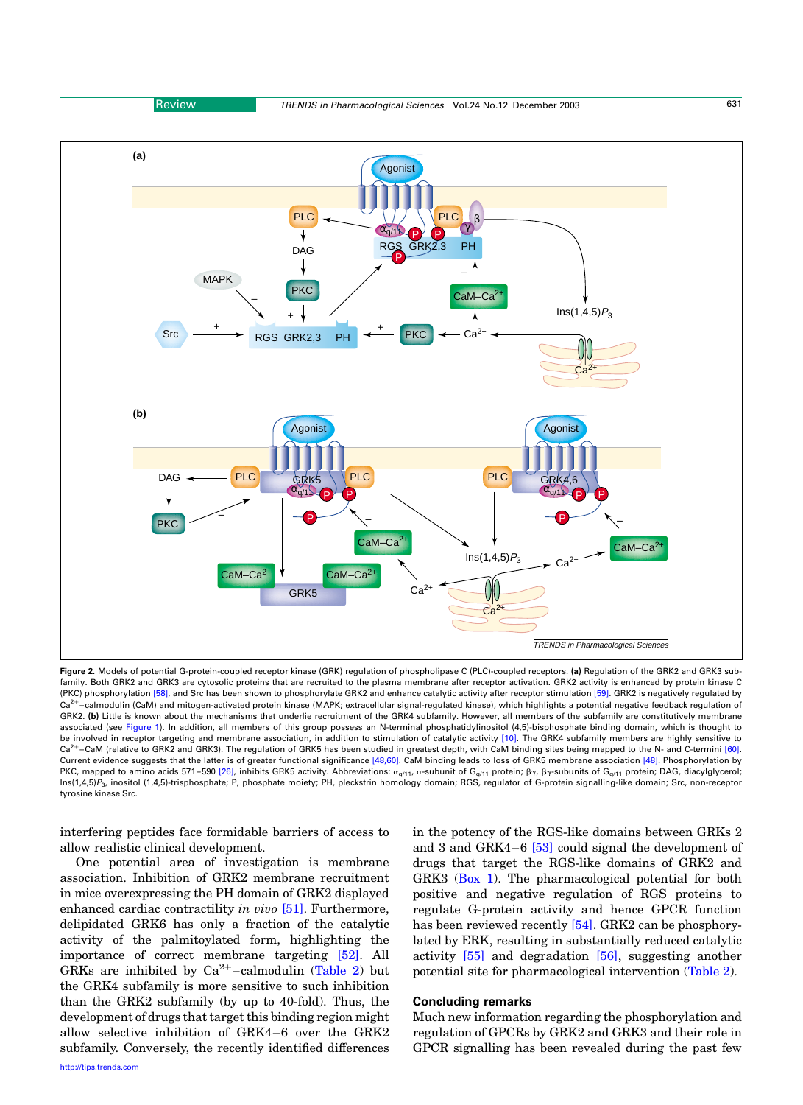<span id="page-5-0"></span>

Figure 2. Models of potential G-protein-coupled receptor kinase (GRK) regulation of phospholipase C (PLC)-coupled receptors. (a) Regulation of the GRK2 and GRK3 subfamily. Both GRK2 and GRK3 are cytosolic proteins that are recruited to the plasma membrane after receptor activation. GRK2 activity is enhanced by protein kinase C (PKC) phosphorylation [\[58\]](#page-7-0), and Src has been shown to phosphorylate GRK2 and enhance catalytic activity after receptor stimulation [\[59\]](#page-7-0). GRK2 is negatively regulated by Ca<sup>2+</sup>-calmodulin (CaM) and mitogen-activated protein kinase (MAPK; extracellular signal-regulated kinase), which highlights a potential negative feedback regulation of GRK2. (b) Little is known about the mechanisms that underlie recruitment of the GRK4 subfamily. However, all members of the subfamily are constitutively membrane associated (see [Figure 1\)](#page-2-0). In addition, all members of this group possess an N-terminal phosphatidylinositol (4,5)-bisphosphate binding domain, which is thought to be involved in receptor targeting and membrane association, in addition to stimulation of catalytic activity [\[10\].](#page-6-0) The GRK4 subfamily members are highly sensitive to Ca<sup>2+</sup>-CaM (relative to GRK2 and GRK3). The regulation of GRK5 has been studied in greatest depth, with CaM binding sites being mapped to the N- and C-termini [\[60\]](#page-7-0). Current evidence suggests that the latter is of greater functional significance [\[48,60\]](#page-7-0). CaM binding leads to loss of GRK5 membrane association [\[48\].](#page-7-0) Phosphorylation by PKC, mapped to amino acids 571–590 [\[26\]](#page-6-0), inhibits GRK5 activity. Abbreviations:  $\alpha_{q/11}$ ,  $\alpha$ -subunit of G<sub>q/11</sub> protein;  $\beta\gamma$ ,  $\beta\gamma$ -subunits of G<sub>q/11</sub> protein; DAG, diacylglycerol; Ins(1,4,5)P3, inositol (1,4,5)-trisphosphate; P, phosphate moiety; PH, pleckstrin homology domain; RGS, regulator of G-protein signalling-like domain; Src, non-receptor tyrosine kinase Src.

interfering peptides face formidable barriers of access to allow realistic clinical development.

One potential area of investigation is membrane association. Inhibition of GRK2 membrane recruitment in mice overexpressing the PH domain of GRK2 displayed enhanced cardiac contractility in vivo [\[51\].](#page-7-0) Furthermore, delipidated GRK6 has only a fraction of the catalytic activity of the palmitoylated form, highlighting the importance of correct membrane targeting [\[52\]](#page-7-0). All GRKs are inhibited by  $Ca^{2+}$ -calmodulin [\(Table 2](#page-4-0)) but the GRK4 subfamily is more sensitive to such inhibition than the GRK2 subfamily (by up to 40-fold). Thus, the development of drugs that target this binding region might allow selective inhibition of GRK4–6 over the GRK2 subfamily. Conversely, the recently identified differences in the potency of the RGS-like domains between GRKs 2 and 3 and GRK4–6 [\[53\]](#page-7-0) could signal the development of drugs that target the RGS-like domains of GRK2 and GRK3 ([Box 1](#page-1-0)). The pharmacological potential for both positive and negative regulation of RGS proteins to regulate G-protein activity and hence GPCR function has been reviewed recently [\[54\]](#page-7-0). GRK2 can be phosphorylated by ERK, resulting in substantially reduced catalytic activity [\[55\]](#page-7-0) and degradation [\[56\]](#page-7-0), suggesting another potential site for pharmacological intervention ([Table 2\)](#page-4-0).

## Concluding remarks

Much new information regarding the phosphorylation and regulation of GPCRs by GRK2 and GRK3 and their role in GPCR signalling has been revealed during the past few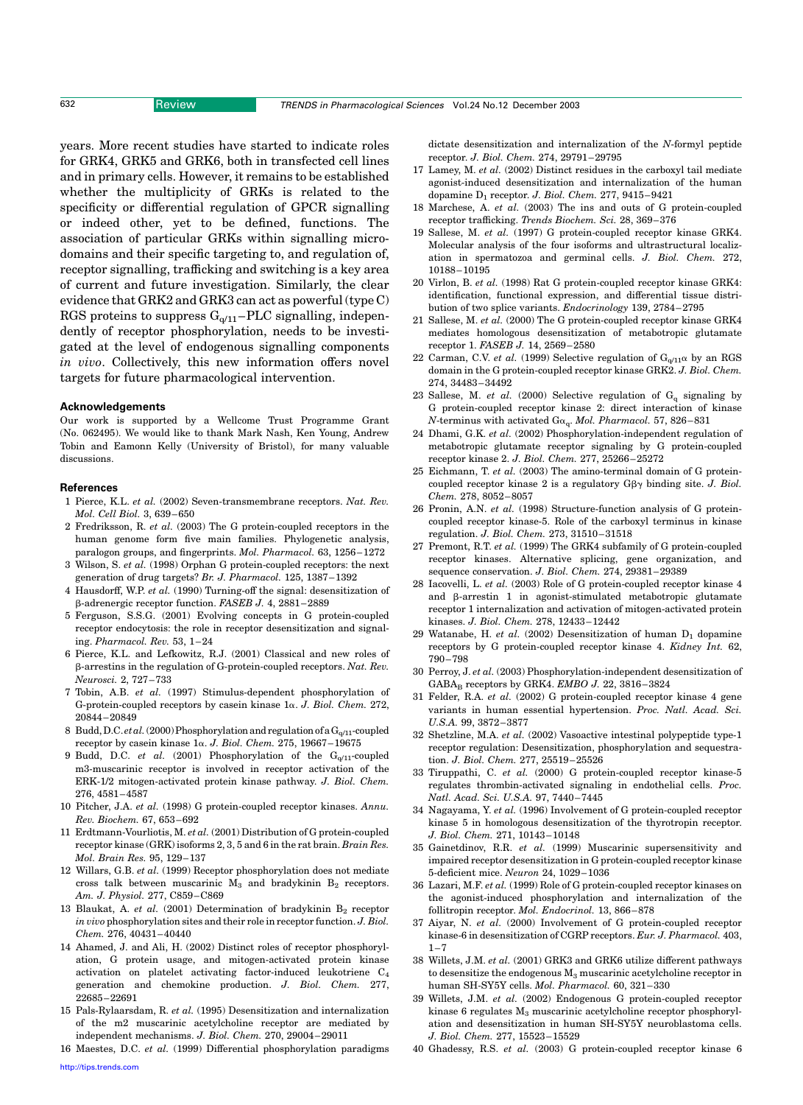<span id="page-6-0"></span>years. More recent studies have started to indicate roles for GRK4, GRK5 and GRK6, both in transfected cell lines and in primary cells. However, it remains to be established whether the multiplicity of GRKs is related to the specificity or differential regulation of GPCR signalling or indeed other, yet to be defined, functions. The association of particular GRKs within signalling microdomains and their specific targeting to, and regulation of, receptor signalling, trafficking and switching is a key area of current and future investigation. Similarly, the clear evidence that GRK2 and GRK3 can act as powerful (type C) RGS proteins to suppress  $G_{q/11}$ –PLC signalling, independently of receptor phosphorylation, needs to be investigated at the level of endogenous signalling components in vivo. Collectively, this new information offers novel targets for future pharmacological intervention.

#### Acknowledgements

Our work is supported by a Wellcome Trust Programme Grant (No. 062495). We would like to thank Mark Nash, Ken Young, Andrew Tobin and Eamonn Kelly (University of Bristol), for many valuable discussions.

#### **References**

- 1 Pierce, K.L. et al. (2002) Seven-transmembrane receptors. Nat. Rev. Mol. Cell Biol. 3, 639–650
- 2 Fredriksson, R. et al. (2003) The G protein-coupled receptors in the human genome form five main families. Phylogenetic analysis, paralogon groups, and fingerprints. Mol. Pharmacol. 63, 1256–1272
- 3 Wilson, S. et al. (1998) Orphan G protein-coupled receptors: the next generation of drug targets? Br. J. Pharmacol. 125, 1387–1392
- 4 Hausdorff, W.P. et al. (1990) Turning-off the signal: desensitization of b-adrenergic receptor function. FASEB J. 4, 2881–2889
- 5 Ferguson, S.S.G. (2001) Evolving concepts in G protein-coupled receptor endocytosis: the role in receptor desensitization and signaling. Pharmacol. Rev. 53, 1–24
- 6 Pierce, K.L. and Lefkowitz, R.J. (2001) Classical and new roles of  $\beta$ -arrestins in the regulation of G-protein-coupled receptors. Nat. Rev. Neurosci. 2, 727–733
- 7 Tobin, A.B. et al. (1997) Stimulus-dependent phosphorylation of G-protein-coupled receptors by casein kinase  $1\alpha$ . J. Biol. Chem. 272, 20844–20849
- 8 Budd, D.C. et al. (2000) Phosphorylation and regulation of a  $\mathrm{G}_{\mathrm{q}/11}$  coupled receptor by casein kinase  $1\alpha$ . J. Biol. Chem. 275, 19667-19675
- 9 Budd, D.C. et al. (2001) Phosphorylation of the  $G_{q/11}$ -coupled m3-muscarinic receptor is involved in receptor activation of the ERK-1/2 mitogen-activated protein kinase pathway. J. Biol. Chem. 276, 4581–4587
- 10 Pitcher, J.A. et al. (1998) G protein-coupled receptor kinases. Annu. Rev. Biochem. 67, 653–692
- 11 Erdtmann-Vourliotis, M. et al. (2001) Distribution of G protein-coupled receptor kinase (GRK) isoforms 2, 3, 5 and 6 in the rat brain. Brain Res. Mol. Brain Res. 95, 129–137
- 12 Willars, G.B. et al. (1999) Receptor phosphorylation does not mediate cross talk between muscarinic  $M_3$  and bradykinin  $B_2$  receptors. Am. J. Physiol. 277, C859–C869
- 13 Blaukat, A. et al. (2001) Determination of bradykinin  $B_2$  receptor in vivo phosphorylation sites and their role in receptor function. J. Biol. Chem. 276, 40431–40440
- 14 Ahamed, J. and Ali, H. (2002) Distinct roles of receptor phosphorylation, G protein usage, and mitogen-activated protein kinase activation on platelet activating factor-induced leukotriene C4 generation and chemokine production. J. Biol. Chem. 277, 22685–22691
- 15 Pals-Rylaarsdam, R. et al. (1995) Desensitization and internalization of the m2 muscarinic acetylcholine receptor are mediated by independent mechanisms. J. Biol. Chem. 270, 29004–29011
- 16 Maestes, D.C. et al. (1999) Differential phosphorylation paradigms

dictate desensitization and internalization of the N-formyl peptide receptor. J. Biol. Chem. 274, 29791–29795

- 17 Lamey, M. et al. (2002) Distinct residues in the carboxyl tail mediate agonist-induced desensitization and internalization of the human dopamine  $D_1$  receptor. J. Biol. Chem. 277, 9415-9421
- 18 Marchese, A. et al. (2003) The ins and outs of G protein-coupled receptor trafficking. Trends Biochem. Sci. 28, 369–376
- 19 Sallese, M. et al. (1997) G protein-coupled receptor kinase GRK4. Molecular analysis of the four isoforms and ultrastructural localization in spermatozoa and germinal cells. J. Biol. Chem. 272, 10188–10195
- 20 Virlon, B. et al. (1998) Rat G protein-coupled receptor kinase GRK4: identification, functional expression, and differential tissue distribution of two splice variants. Endocrinology 139, 2784–2795
- 21 Sallese, M. et al. (2000) The G protein-coupled receptor kinase GRK4 mediates homologous desensitization of metabotropic glutamate receptor 1. FASEB J. 14, 2569–2580
- 22 Carman, C.V. et al. (1999) Selective regulation of  $G_{q/11}$  $\alpha$  by an RGS domain in the G protein-coupled receptor kinase GRK2. J. Biol. Chem. 274, 34483–34492
- 23 Sallese, M. et al. (2000) Selective regulation of  $G_q$  signaling by G protein-coupled receptor kinase 2: direct interaction of kinase N-terminus with activated  $G_{\alpha_q}$ . Mol. Pharmacol. 57, 826-831
- 24 Dhami, G.K. et al. (2002) Phosphorylation-independent regulation of metabotropic glutamate receptor signaling by G protein-coupled receptor kinase 2. J. Biol. Chem. 277, 25266–25272
- 25 Eichmann, T. et al. (2003) The amino-terminal domain of G proteincoupled receptor kinase 2 is a regulatory  $G\beta\gamma$  binding site. J. Biol. Chem. 278, 8052–8057
- 26 Pronin, A.N. et al. (1998) Structure-function analysis of G proteincoupled receptor kinase-5. Role of the carboxyl terminus in kinase regulation. J. Biol. Chem. 273, 31510–31518
- 27 Premont, R.T. et al. (1999) The GRK4 subfamily of G protein-coupled receptor kinases. Alternative splicing, gene organization, and sequence conservation. J. Biol. Chem. 274, 29381–29389
- 28 Iacovelli, L. et al. (2003) Role of G protein-coupled receptor kinase 4 and  $\beta$ -arrestin 1 in agonist-stimulated metabotropic glutamate receptor 1 internalization and activation of mitogen-activated protein kinases. J. Biol. Chem. 278, 12433–12442
- 29 Watanabe, H. et al. (2002) Desensitization of human  $D_1$  dopamine receptors by G protein-coupled receptor kinase 4. Kidney Int. 62, 790–798
- 30 Perroy, J. et al. (2003) Phosphorylation-independent desensitization of  $GABA<sub>B</sub>$  receptors by GRK4. EMBO J. 22, 3816-3824
- 31 Felder, R.A. et al. (2002) G protein-coupled receptor kinase 4 gene variants in human essential hypertension. Proc. Natl. Acad. Sci. U.S.A. 99, 3872–3877
- 32 Shetzline, M.A. et al. (2002) Vasoactive intestinal polypeptide type-1 receptor regulation: Desensitization, phosphorylation and sequestration. J. Biol. Chem. 277, 25519–25526
- 33 Tiruppathi, C. et al. (2000) G protein-coupled receptor kinase-5 regulates thrombin-activated signaling in endothelial cells. Proc. Natl. Acad. Sci. U.S.A. 97, 7440–7445
- 34 Nagayama, Y. et al. (1996) Involvement of G protein-coupled receptor kinase 5 in homologous desensitization of the thyrotropin receptor. J. Biol. Chem. 271, 10143–10148
- 35 Gainetdinov, R.R. et al. (1999) Muscarinic supersensitivity and impaired receptor desensitization in G protein-coupled receptor kinase 5-deficient mice. Neuron 24, 1029–1036
- 36 Lazari, M.F. et al. (1999) Role of G protein-coupled receptor kinases on the agonist-induced phosphorylation and internalization of the follitropin receptor. Mol. Endocrinol. 13, 866–878
- 37 Aiyar, N. et al. (2000) Involvement of G protein-coupled receptor kinase-6 in desensitization of CGRP receptors. Eur. J. Pharmacol. 403,  $1 - 7$
- 38 Willets, J.M. et al. (2001) GRK3 and GRK6 utilize different pathways to desensitize the endogenous  $M_2$  muscarinic acetylcholine receptor in human SH-SY5Y cells. Mol. Pharmacol. 60, 321–330
- 39 Willets, J.M. et al. (2002) Endogenous G protein-coupled receptor kinase 6 regulates  $M_3$  muscarinic acetylcholine receptor phosphorylation and desensitization in human SH-SY5Y neuroblastoma cells. J. Biol. Chem. 277, 15523–15529
- 40 Ghadessy, R.S. et al. (2003) G protein-coupled receptor kinase 6